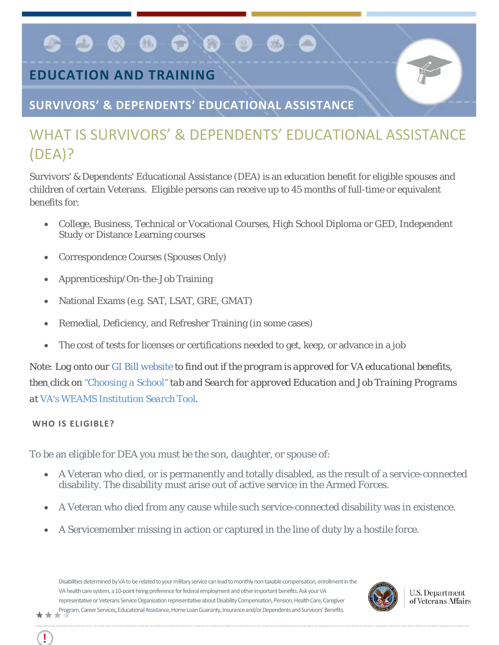# **EDUCATION AND TRAINING**

 $\bullet$ 

**SURVIVORS' & DEPENDENTS' EDUCATIONAL ASSISTANCE**

 $\bullet$   $\bullet$   $\circ$   $\bullet$ 

# WHAT IS SURVIVORS' & DEPENDENTS' EDUCATIONAL ASSISTANCE (DEA)?

Survivors' & Dependents' Educational Assistance (DEA) is an education benefit for eligible spouses and children of certain Veterans. Eligible persons can receive up to 45 months of full-time or equivalent benefits for:

- College, Business, Technical or Vocational Courses, High School Diploma or GED, Independent Study or Distance Learning courses
- Correspondence Courses (Spouses Only)
- Apprenticeship/On-the-Job Training
- National Exams (e.g. SAT, LSAT, GRE, GMAT)
- Remedial, Deficiency, and Refresher Training (in some cases)
- The cost of tests for licenses or certifications needed to get, keep, or advance in a job

*Note: Log onto our [GI Bill website](http://www.benefits.va.gov/gibill/index.asp) to find out if the program is approved for VA educational benefits, then click on ["Choosing a School"](http://www.benefits.va.gov/gibill/school_decision.asp) tab and Search for approved Education and Job Training Programs at [VA's WEAMS Institution Search Tool](http://inquiry.vba.va.gov/weamspub/buildSearchInstitutionCriteria.do;jsessionid=qtMbSxQFpzyL7GpnQrtnNGv6G9CGQQvb2YqM9Cvw3vB2pv2lXhfJ!-1531379871)*.

## **WHO IS ELIGIBLE?**

To be an eligible for DEA you must be the son, daughter, or spouse of:

- A Veteran who died, or is permanently and totally disabled, as the result of a service-connected disability. The disability must arise out of active service in the Armed Forces.
- A Veteran who died from any cause while such service-connected disability was in existence.
- A Servicemember missing in action or captured in the line of duty by a hostile force.

Disabilities determined by VA to be related to your military service can lead to monthly non-taxable compensation, enrollment in the VA health care system, a 10-point hiring preference for federal employment and other important benefits. Ask your VA representative or Veterans Service Organization representative about Disability Compensation, Pension, Health Care, Caregiver Program, Career Services, Educational Assistance, Home Loan Guaranty, Insurance and/or Dependents and Survivors' Benefits.\*\*\*



**U.S. Department** of Veterans Affairs